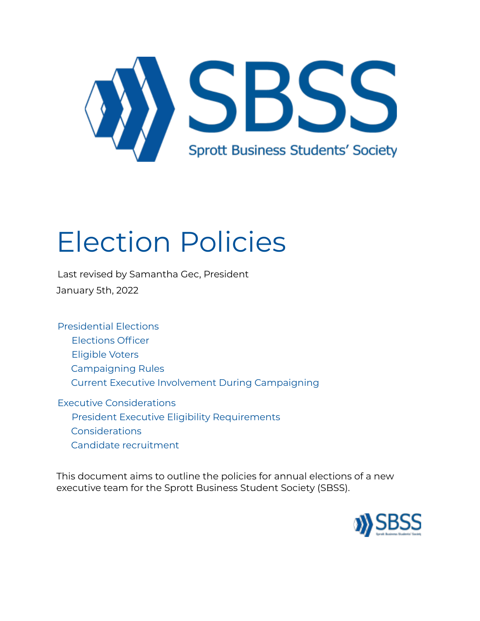

# Election Policies

Last revised by Samantha Gec, President January 5th, 2022

Presidential Elections

- Elections Officer
- Eligible Voters
- Campaigning Rules
- Current Executive Involvement During Campaigning

Executive Considerations President Executive Eligibility Requirements Considerations Candidate recruitment

This document aims to outline the policies for annual elections of a new executive team for the Sprott Business Student Society (SBSS).

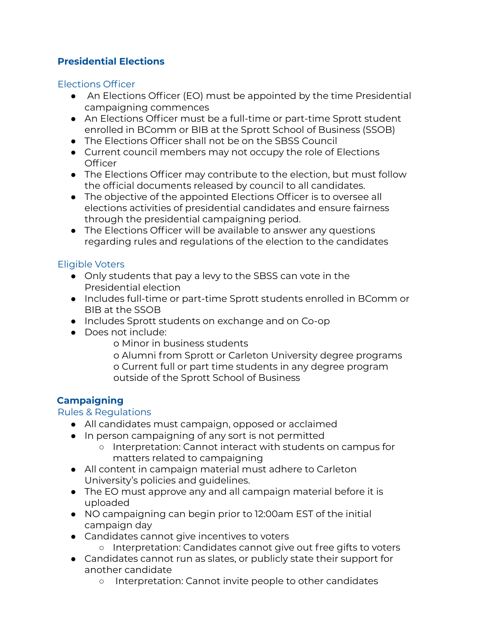## **Presidential Elections**

#### Elections Officer

- An Elections Officer (EO) must be appointed by the time Presidential campaigning commences
- An Elections Officer must be a full-time or part-time Sprott student enrolled in BComm or BIB at the Sprott School of Business (SSOB)
- The Elections Officer shall not be on the SBSS Council
- Current council members may not occupy the role of Elections **Officer**
- The Elections Officer may contribute to the election, but must follow the official documents released by council to all candidates.
- The objective of the appointed Elections Officer is to oversee all elections activities of presidential candidates and ensure fairness through the presidential campaigning period.
- The Elections Officer will be available to answer any questions regarding rules and regulations of the election to the candidates

## Eligible Voters

- Only students that pay a levy to the SBSS can vote in the Presidential election
- Includes full-time or part-time Sprott students enrolled in BComm or BIB at the SSOB
- Includes Sprott students on exchange and on Co-op
- Does not include:
	- o Minor in business students
	- o Alumni from Sprott or Carleton University degree programs o Current full or part time students in any degree program outside of the Sprott School of Business

## **Campaigning**

#### Rules & Regulations

- All candidates must campaign, opposed or acclaimed
- In person campaigning of any sort is not permitted
	- Interpretation: Cannot interact with students on campus for matters related to campaigning
- All content in campaign material must adhere to Carleton University's policies and guidelines.
- The EO must approve any and all campaign material before it is uploaded
- NO campaigning can begin prior to 12:00am EST of the initial campaign day
- Candidates cannot give incentives to voters
	- Interpretation: Candidates cannot give out free gifts to voters
- Candidates cannot run as slates, or publicly state their support for another candidate
	- Interpretation: Cannot invite people to other candidates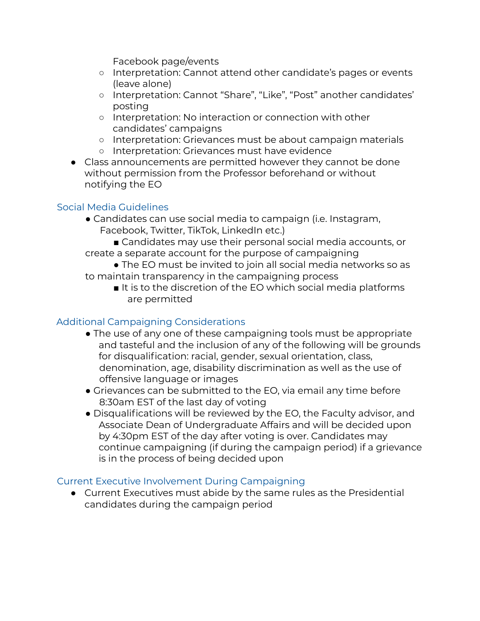Facebook page/events

- Interpretation: Cannot attend other candidate's pages or events (leave alone)
- Interpretation: Cannot "Share", "Like", "Post" another candidates' posting
- Interpretation: No interaction or connection with other candidates' campaigns
- Interpretation: Grievances must be about campaign materials
- Interpretation: Grievances must have evidence
- Class announcements are permitted however they cannot be done without permission from the Professor beforehand or without notifying the EO

## Social Media Guidelines

- Candidates can use social media to campaign (i.e. Instagram, Facebook, Twitter, TikTok, LinkedIn etc.)
- Candidates may use their personal social media accounts, or create a separate account for the purpose of campaigning
- The EO must be invited to join all social media networks so as to maintain transparency in the campaigning process
	- It is to the discretion of the EO which social media platforms are permitted

## Additional Campaigning Considerations

- The use of any one of these campaigning tools must be appropriate and tasteful and the inclusion of any of the following will be grounds for disqualification: racial, gender, sexual orientation, class, denomination, age, disability discrimination as well as the use of offensive language or images
- Grievances can be submitted to the EO, via email any time before 8:30am EST of the last day of voting
- Disqualifications will be reviewed by the EO, the Faculty advisor, and Associate Dean of Undergraduate Affairs and will be decided upon by 4:30pm EST of the day after voting is over. Candidates may continue campaigning (if during the campaign period) if a grievance is in the process of being decided upon

## Current Executive Involvement During Campaigning

● Current Executives must abide by the same rules as the Presidential candidates during the campaign period